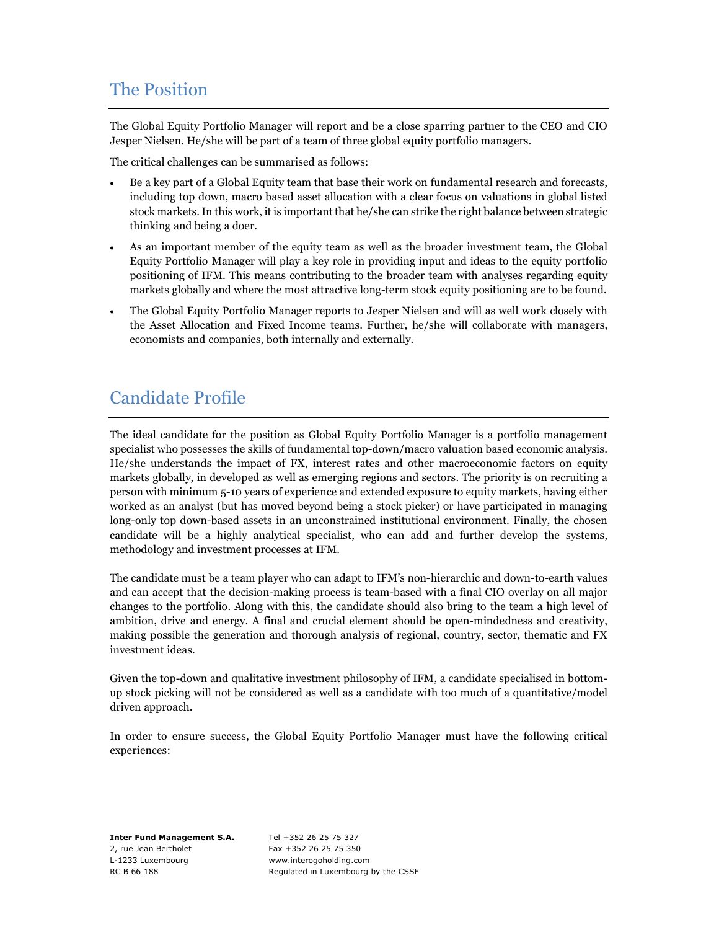## The Position

The Global Equity Portfolio Manager will report and be a close sparring partner to the CEO and CIO Jesper Nielsen. He/she will be part of a team of three global equity portfolio managers.

The critical challenges can be summarised as follows:

- Be a key part of a Global Equity team that base their work on fundamental research and forecasts, including top down, macro based asset allocation with a clear focus on valuations in global listed stock markets. In this work, it is important that he/she can strike the right balance between strategic thinking and being a doer.
- As an important member of the equity team as well as the broader investment team, the Global Equity Portfolio Manager will play a key role in providing input and ideas to the equity portfolio positioning of IFM. This means contributing to the broader team with analyses regarding equity markets globally and where the most attractive long-term stock equity positioning are to be found.
- The Global Equity Portfolio Manager reports to Jesper Nielsen and will as well work closely with the Asset Allocation and Fixed Income teams. Further, he/she will collaborate with managers, economists and companies, both internally and externally.

# Candidate Profile

The ideal candidate for the position as Global Equity Portfolio Manager is a portfolio management specialist who possesses the skills of fundamental top-down/macro valuation based economic analysis. He/she understands the impact of FX, interest rates and other macroeconomic factors on equity markets globally, in developed as well as emerging regions and sectors. The priority is on recruiting a person with minimum 5-10 years of experience and extended exposure to equity markets, having either worked as an analyst (but has moved beyond being a stock picker) or have participated in managing long-only top down-based assets in an unconstrained institutional environment. Finally, the chosen candidate will be a highly analytical specialist, who can add and further develop the systems, methodology and investment processes at IFM.

The candidate must be a team player who can adapt to IFM's non-hierarchic and down-to-earth values and can accept that the decision-making process is team-based with a final CIO overlay on all major changes to the portfolio. Along with this, the candidate should also bring to the team a high level of ambition, drive and energy. A final and crucial element should be open-mindedness and creativity, making possible the generation and thorough analysis of regional, country, sector, thematic and FX investment ideas.

Given the top-down and qualitative investment philosophy of IFM, a candidate specialised in bottomup stock picking will not be considered as well as a candidate with too much of a quantitative/model driven approach.

In order to ensure success, the Global Equity Portfolio Manager must have the following critical experiences:

Inter Fund Management S.A. Tel +352 26 25 75 327 2, rue Jean Bertholet Fax +352 26 25 75 350 L-1233 Luxembourg www.interogoholding.com

RC B 66 188 Regulated in Luxembourg by the CSSF